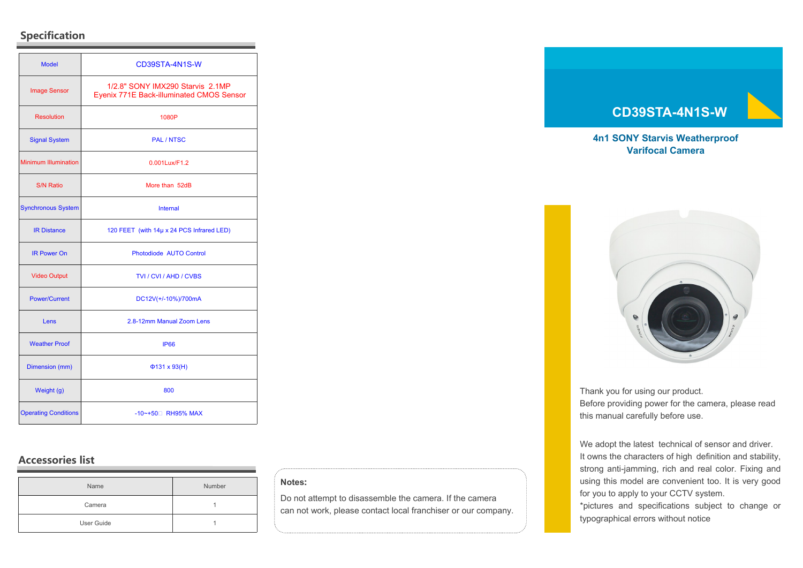# **Specification**

| <b>Model</b>                | CD39STA-4N1S-W                                                               |
|-----------------------------|------------------------------------------------------------------------------|
| <b>Image Sensor</b>         | 1/2.8" SONY IMX290 Starvis 2.1MP<br>Eyenix 771E Back-illuminated CMOS Sensor |
| <b>Resolution</b>           | 1080P                                                                        |
| <b>Signal System</b>        | <b>PAL / NTSC</b>                                                            |
| <b>Minimum Illumination</b> | 0.001Lux/F1.2                                                                |
| <b>S/N Ratio</b>            | More than 52dB                                                               |
| <b>Synchronous System</b>   | <b>Internal</b>                                                              |
| <b>IR Distance</b>          | 120 FEET (with 14µ x 24 PCS Infrared LED)                                    |
| <b>IR Power On</b>          | Photodiode AUTO Control                                                      |
| <b>Video Output</b>         | TVI / CVI / AHD / CVBS                                                       |
| <b>Power/Current</b>        | DC12V(+/-10%)/700mA                                                          |
| Lens                        | 2.8-12mm Manual Zoom Lens                                                    |
| <b>Weather Proof</b>        | <b>IP66</b>                                                                  |
| Dimension (mm)              | $\Phi$ 131 x 93(H)                                                           |
| Weight (g)                  | 800                                                                          |
| <b>Operating Conditions</b> | -10~+50 <sup>D</sup> RH95% MAX                                               |

# **Accessories list**

| Name       | Number |
|------------|--------|
| Camera     |        |
| User Guide |        |

#### **Notes:**

Do not attempt to disassemble the camera. If the camera can not work, please contact local franchiser or our company.

# **CD39STA-4N1S-W**

## **4n1 SONY Starvis Weatherproof Varifocal Camera**



Thank you for using our product. Before providing power for the camera, please read this manual carefully before use.

We adopt the latest technical of sensor and driver. It owns the characters of high definition and stability, strong anti-jamming, rich and real color. Fixing and using this model are convenient too. It is very good for you to apply to your CCTV system.

\*pictures and specifications subject to change or typographical errors without notice